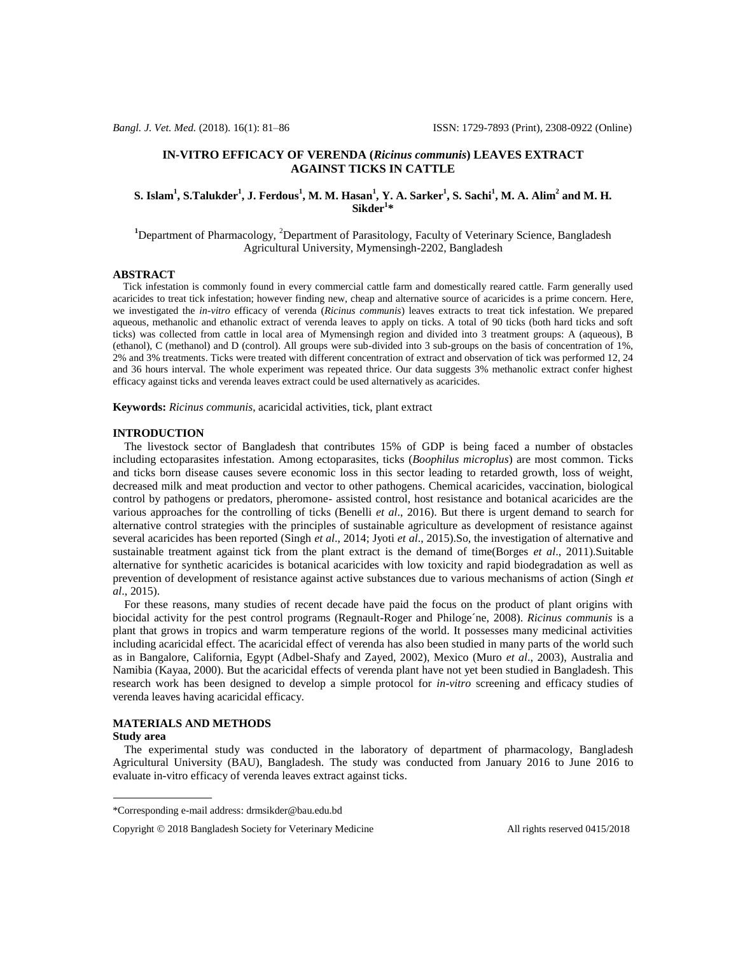## **IN-VITRO EFFICACY OF VERENDA (***Ricinus communis***) LEAVES EXTRACT AGAINST TICKS IN CATTLE**

# S. Islam $^1$ , S.Talukder $^1$ , J. Ferdous $^1$ , M. M. Hasan $^1$ , Y. A. Sarker $^1$ , S. Sachi $^1$ , M. A. Alim $^2$  and M. H. **Sikder<sup>1</sup> \***

<sup>1</sup>Department of Pharmacology, <sup>2</sup>Department of Parasitology, Faculty of Veterinary Science, Bangladesh Agricultural University, Mymensingh-2202, Bangladesh

### **ABSTRACT**

 Tick infestation is commonly found in every commercial cattle farm and domestically reared cattle. Farm generally used acaricides to treat tick infestation; however finding new, cheap and alternative source of acaricides is a prime concern. Here, we investigated the *in-vitro* efficacy of verenda (*Ricinus communis*) leaves extracts to treat tick infestation. We prepared aqueous, methanolic and ethanolic extract of verenda leaves to apply on ticks. A total of 90 ticks (both hard ticks and soft ticks) was collected from cattle in local area of Mymensingh region and divided into 3 treatment groups: A (aqueous), B (ethanol), C (methanol) and D (control). All groups were sub-divided into 3 sub-groups on the basis of concentration of 1%, 2% and 3% treatments. Ticks were treated with different concentration of extract and observation of tick was performed 12, 24 and 36 hours interval. The whole experiment was repeated thrice. Our data suggests 3% methanolic extract confer highest efficacy against ticks and verenda leaves extract could be used alternatively as acaricides.

**Keywords:** *Ricinus communis*, acaricidal activities, tick, plant extract

### **INTRODUCTION**

 The livestock sector of Bangladesh that contributes 15% of GDP is being faced a number of obstacles including ectoparasites infestation. Among ectoparasites, ticks (*Boophilus microplus*) are most common. Ticks and ticks born disease causes severe economic loss in this sector leading to retarded growth, loss of weight, decreased milk and meat production and vector to other pathogens. Chemical acaricides, vaccination, biological control by pathogens or predators, pheromone- assisted control, host resistance and botanical acaricides are the various approaches for the controlling of ticks (Benelli *et al*., 2016). But there is urgent demand to search for alternative control strategies with the principles of sustainable agriculture as development of resistance against several acaricides has been reported (Singh *et al*., 2014; Jyoti *et al*., 2015).So, the investigation of alternative and sustainable treatment against tick from the plant extract is the demand of time(Borges *et al*., 2011).Suitable alternative for synthetic acaricides is botanical acaricides with low toxicity and rapid biodegradation as well as prevention of development of resistance against active substances due to various mechanisms of action (Singh *et al*., 2015).

 For these reasons, many studies of recent decade have paid the focus on the product of plant origins with biocidal activity for the pest control programs (Regnault-Roger and Philoge´ne, 2008). *Ricinus communis* is a plant that grows in tropics and warm temperature regions of the world. It possesses many medicinal activities including acaricidal effect. The acaricidal effect of verenda has also been studied in many parts of the world such as in Bangalore, California, Egypt (Adbel-Shafy and Zayed, 2002), Mexico (Muro *et al*., 2003), Australia and Namibia (Kayaa, 2000). But the acaricidal effects of verenda plant have not yet been studied in Bangladesh. This research work has been designed to develop a simple protocol for *in-vitro* screening and efficacy studies of verenda leaves having acaricidal efficacy.

## **MATERIALS AND METHODS**

### **Study area**

 The experimental study was conducted in the laboratory of department of pharmacology, Bangladesh Agricultural University (BAU), Bangladesh. The study was conducted from January 2016 to June 2016 to evaluate in-vitro efficacy of verenda leaves extract against ticks.

<sup>\*</sup>Corresponding e-mail address: drmsikder@bau.edu.bd

Copyright  $\odot$  2018 Bangladesh Society for Veterinary Medicine All rights reserved 0415/2018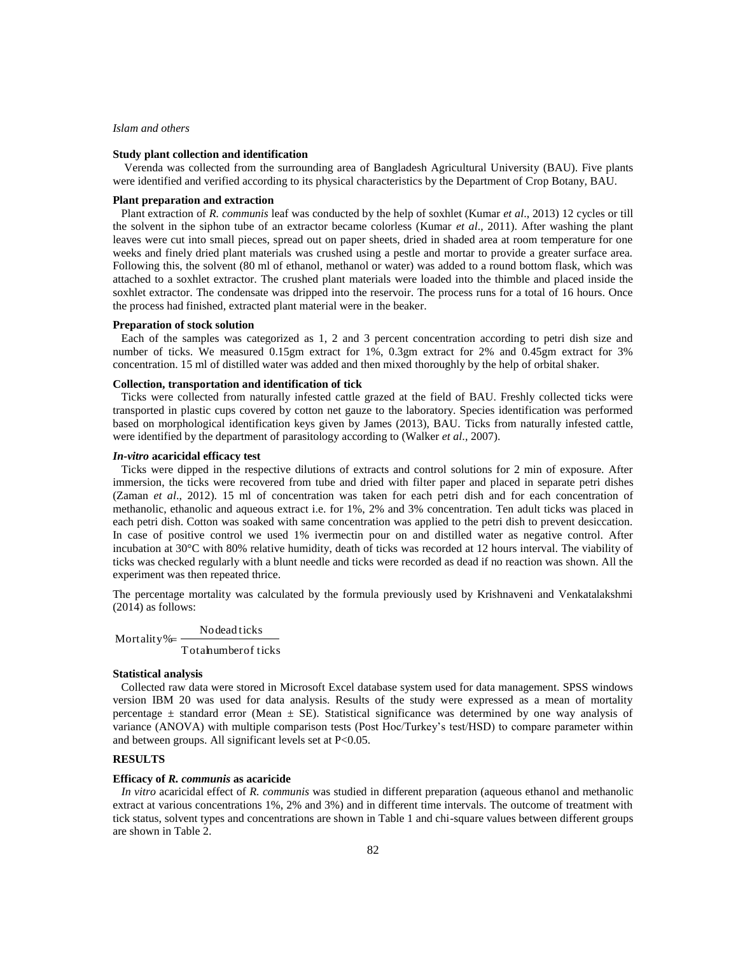## *Islam and others*

#### **Study plant collection and identification**

 Verenda was collected from the surrounding area of Bangladesh Agricultural University (BAU). Five plants were identified and verified according to its physical characteristics by the Department of Crop Botany, BAU.

### **Plant preparation and extraction**

Plant extraction of *R. communis* leaf was conducted by the help of soxhlet (Kumar *et al*., 2013) 12 cycles or till the solvent in the siphon tube of an extractor became colorless (Kumar *et al*., 2011). After washing the plant leaves were cut into small pieces, spread out on paper sheets, dried in shaded area at room temperature for one weeks and finely dried plant materials was crushed using a pestle and mortar to provide a greater surface area. Following this, the solvent (80 ml of ethanol, methanol or water) was added to a round bottom flask, which was attached to a soxhlet extractor. The crushed plant materials were loaded into the thimble and placed inside the soxhlet extractor. The condensate was dripped into the reservoir. The process runs for a total of 16 hours. Once the process had finished, extracted plant material were in the beaker.

#### **Preparation of stock solution**

Each of the samples was categorized as 1, 2 and 3 percent concentration according to petri dish size and number of ticks. We measured 0.15gm extract for 1%, 0.3gm extract for 2% and 0.45gm extract for 3% concentration. 15 ml of distilled water was added and then mixed thoroughly by the help of orbital shaker.

## **Collection, transportation and identification of tick**

Ticks were collected from naturally infested cattle grazed at the field of BAU. Freshly collected ticks were transported in plastic cups covered by cotton net gauze to the laboratory. Species identification was performed based on morphological identification keys given by James (2013), BAU. Ticks from naturally infested cattle, were identified by the department of parasitology according to (Walker *et al*., 2007).

## *In-vitro* **acaricidal efficacy test**

Ticks were dipped in the respective dilutions of extracts and control solutions for 2 min of exposure. After immersion, the ticks were recovered from tube and dried with filter paper and placed in separate petri dishes (Zaman *et al*., 2012). 15 ml of concentration was taken for each petri dish and for each concentration of methanolic, ethanolic and aqueous extract i.e. for 1%, 2% and 3% concentration. Ten adult ticks was placed in each petri dish. Cotton was soaked with same concentration was applied to the petri dish to prevent desiccation. In case of positive control we used 1% ivermectin pour on and distilled water as negative control. After incubation at 30°C with 80% relative humidity, death of ticks was recorded at 12 hours interval. The viability of ticks was checked regularly with a blunt needle and ticks were recorded as dead if no reaction was shown. All the experiment was then repeated thrice.

The percentage mortality was calculated by the formula previously used by Krishnaveni and Venkatalakshmi (2014) as follows:

Mortality  $\frac{N}{T}$  otahumber of ticks Nodead ticks

## **Statistical analysis**

Collected raw data were stored in Microsoft Excel database system used for data management. SPSS windows version IBM 20 was used for data analysis. Results of the study were expressed as a mean of mortality percentage  $\pm$  standard error (Mean  $\pm$  SE). Statistical significance was determined by one way analysis of variance (ANOVA) with multiple comparison tests (Post Hoc/Turkey's test/HSD) to compare parameter within and between groups. All significant levels set at P<0.05.

## **RESULTS**

#### **Efficacy of** *R. communis* **as acaricide**

*In vitro* acaricidal effect of *R. communis* was studied in different preparation (aqueous ethanol and methanolic extract at various concentrations 1%, 2% and 3%) and in different time intervals. The outcome of treatment with tick status, solvent types and concentrations are shown in Table 1 and chi-square values between different groups are shown in Table 2.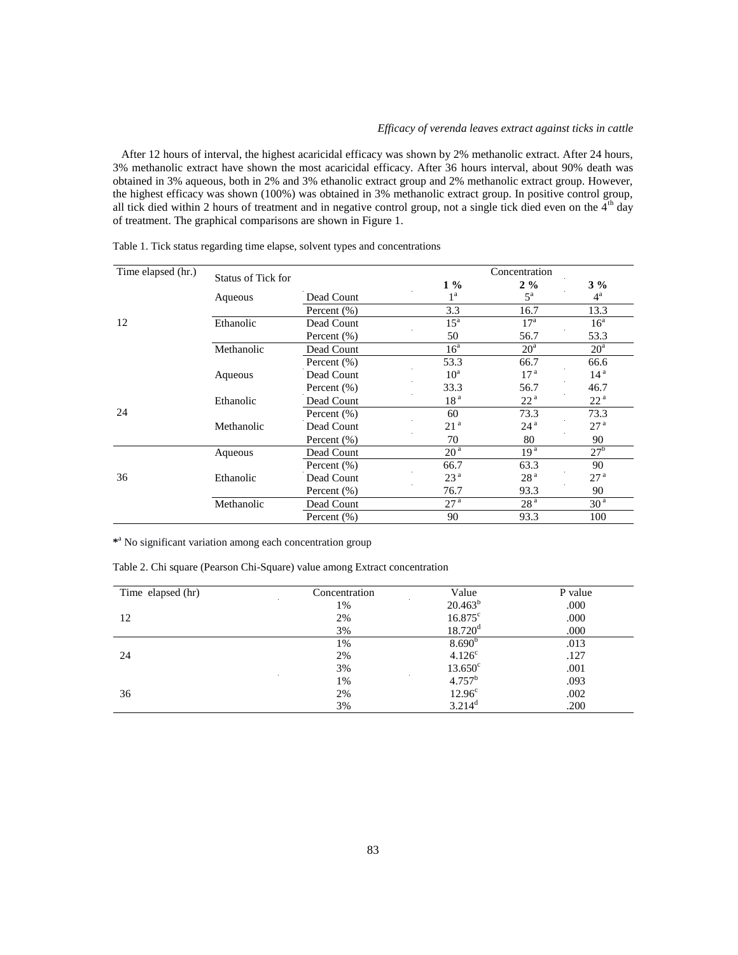## *Efficacy of verenda leaves extract against ticks in cattle*

 After 12 hours of interval, the highest acaricidal efficacy was shown by 2% methanolic extract. After 24 hours, 3% methanolic extract have shown the most acaricidal efficacy. After 36 hours interval, about 90% death was obtained in 3% aqueous, both in 2% and 3% ethanolic extract group and 2% methanolic extract group. However, the highest efficacy was shown (100%) was obtained in 3% methanolic extract group. In positive control group, all tick died within 2 hours of treatment and in negative control group, not a single tick died even on the  $4<sup>th</sup>$  day of treatment. The graphical comparisons are shown in Figure 1.

| Time elapsed (hr.) | <b>Status of Tick for</b> |                 |                   | Concentration   |                 |
|--------------------|---------------------------|-----------------|-------------------|-----------------|-----------------|
|                    |                           |                 | $1\%$             | $2\%$           | $3\%$           |
|                    | Aqueous                   | Dead Count      | 1 <sup>a</sup>    | $5^{\rm a}$     | $4^{\rm a}$     |
|                    |                           | Percent $(\%)$  | 3.3               | 16.7            | 13.3            |
| 12                 | Ethanolic                 | Dead Count      | $15^{\mathrm{a}}$ | 17 <sup>a</sup> | 16 <sup>a</sup> |
|                    |                           | Percent $(\% )$ | 50                | 56.7            | 53.3            |
|                    | Methanolic                | Dead Count      | 16 <sup>a</sup>   | 20 <sup>a</sup> | 20 <sup>a</sup> |
|                    |                           | Percent $(\% )$ | 53.3              | 66.7            | 66.6            |
| 24                 | Aqueous                   | Dead Count      | $10^a$            | 17 <sup>a</sup> | 14 <sup>a</sup> |
|                    |                           | Percent $(\% )$ | 33.3              | 56.7            | 46.7            |
|                    | Ethanolic                 | Dead Count      | 18 <sup>a</sup>   | 22 <sup>a</sup> | 22 <sup>a</sup> |
|                    |                           | Percent $(\% )$ | 60                | 73.3            | 73.3            |
|                    | Methanolic                | Dead Count      | 21 <sup>a</sup>   | 24 <sup>a</sup> | 27 <sup>a</sup> |
|                    |                           | Percent $(\% )$ | 70                | 80              | 90              |
|                    | Aqueous                   | Dead Count      | 20 <sup>a</sup>   | 19 <sup>a</sup> | 27 <sup>b</sup> |
|                    |                           | Percent $(\% )$ | 66.7              | 63.3            | 90              |
| 36                 | Ethanolic                 | Dead Count      | 23 <sup>a</sup>   | 28 <sup>a</sup> | 27 <sup>a</sup> |
|                    |                           | Percent (%)     | 76.7              | 93.3            | 90              |
|                    | Methanolic                | Dead Count      | 27 <sup>a</sup>   | 28 <sup>a</sup> | 30 <sup>a</sup> |
|                    |                           | Percent $(\% )$ | 90                | 93.3            | 100             |

Table 1. Tick status regarding time elapse, solvent types and concentrations

**\*** <sup>a</sup> No significant variation among each concentration group

Table 2. Chi square (Pearson Chi-Square) value among Extract concentration

| Time elapsed (hr) | Concentration | $\sim$<br>Value       | P value |
|-------------------|---------------|-----------------------|---------|
|                   | 1%            | $20.463^b$            | .000    |
| 12                | 2%            | $16.875^{\circ}$      | .000    |
|                   | 3%            | $18.720$ <sup>d</sup> | .000    |
|                   | 1%            | 8.690 <sup>b</sup>    | .013    |
| 24                | 2%            | 4.126 <sup>c</sup>    | .127    |
|                   | 3%            | $13.650^{\circ}$      | .001    |
|                   | 1%            | $4.757^b$             | .093    |
| 36                | 2%            | 12.96 <sup>c</sup>    | .002    |
|                   | 3%            | $3.214^d$             | .200    |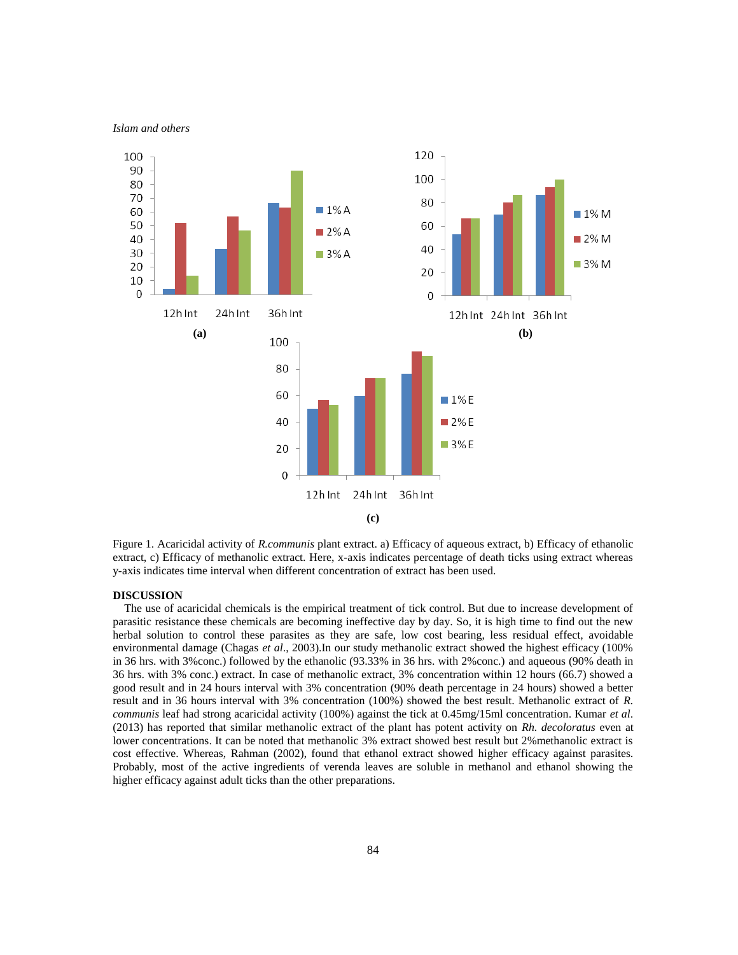

Figure 1. Acaricidal activity of *R.communis* plant extract. a) Efficacy of aqueous extract, b) Efficacy of ethanolic extract, c) Efficacy of methanolic extract. Here, x-axis indicates percentage of death ticks using extract whereas y-axis indicates time interval when different concentration of extract has been used.

## **DISCUSSION**

 The use of acaricidal chemicals is the empirical treatment of tick control. But due to increase development of parasitic resistance these chemicals are becoming ineffective day by day. So, it is high time to find out the new herbal solution to control these parasites as they are safe, low cost bearing, less residual effect, avoidable environmental damage (Chagas *et al*., 2003).In our study methanolic extract showed the highest efficacy (100% in 36 hrs. with 3%conc.) followed by the ethanolic (93.33% in 36 hrs. with 2%conc.) and aqueous (90% death in 36 hrs. with 3% conc.) extract. In case of methanolic extract, 3% concentration within 12 hours (66.7) showed a good result and in 24 hours interval with 3% concentration (90% death percentage in 24 hours) showed a better result and in 36 hours interval with 3% concentration (100%) showed the best result. Methanolic extract of *R. communis* leaf had strong acaricidal activity (100%) against the tick at 0.45mg/15ml concentration. Kumar *et al*. (2013) has reported that similar methanolic extract of the plant has potent activity on *Rh. decoloratus* even at lower concentrations. It can be noted that methanolic 3% extract showed best result but 2%methanolic extract is cost effective. Whereas, Rahman (2002), found that ethanol extract showed higher efficacy against parasites. Probably, most of the active ingredients of verenda leaves are soluble in methanol and ethanol showing the higher efficacy against adult ticks than the other preparations.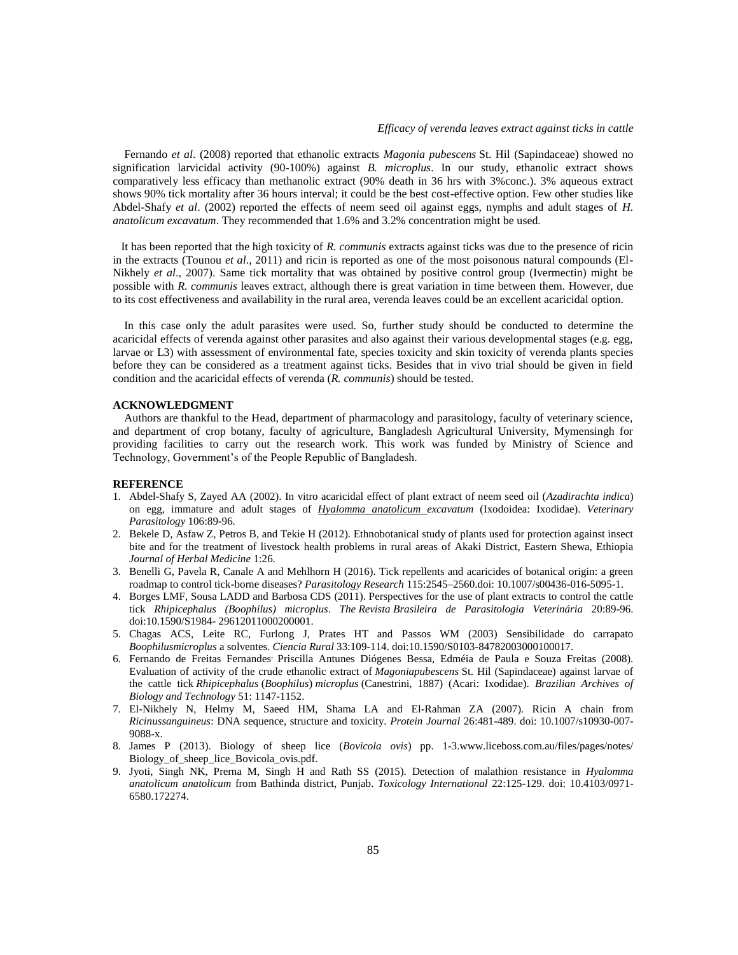Fernando *et al*. (2008) reported that ethanolic extracts *Magonia pubescens* St. Hil (Sapindaceae) showed no signification larvicidal activity (90-100%) against *B. microplus*. In our study, ethanolic extract shows comparatively less efficacy than methanolic extract (90% death in 36 hrs with 3%conc.). 3% aqueous extract shows 90% tick mortality after 36 hours interval; it could be the best cost-effective option. Few other studies like Abdel-Shafy *et al*. (2002) reported the effects of neem seed oil against eggs, nymphs and adult stages of *H. anatolicum excavatum*. They recommended that 1.6% and 3.2% concentration might be used.

It has been reported that the high toxicity of *R. communis* extracts against ticks was due to the presence of ricin in the extracts (Tounou *et al*., 2011) and ricin is reported as one of the most poisonous natural compounds (El-Nikhely *et al*., 2007). Same tick mortality that was obtained by positive control group (Ivermectin) might be possible with *R. communis* leaves extract, although there is great variation in time between them. However, due to its cost effectiveness and availability in the rural area, verenda leaves could be an excellent acaricidal option.

 In this case only the adult parasites were used. So, further study should be conducted to determine the acaricidal effects of verenda against other parasites and also against their various developmental stages (e.g. egg, larvae or L3) with assessment of environmental fate, species toxicity and skin toxicity of verenda plants species before they can be considered as a treatment against ticks. Besides that in vivo trial should be given in field condition and the acaricidal effects of verenda (*R. communis*) should be tested.

## **ACKNOWLEDGMENT**

 Authors are thankful to the Head, department of pharmacology and parasitology, faculty of veterinary science, and department of crop botany, faculty of agriculture, Bangladesh Agricultural University, Mymensingh for providing facilities to carry out the research work. This work was funded by Ministry of Science and Technology, Government's of the People Republic of Bangladesh.

### **REFERENCE**

- 1. Abdel-Shafy S, Zayed AA (2002). In vitro acaricidal effect of plant extract of neem seed oil (*Azadirachta indica*) on egg, immature and adult stages of *Hyalomma anatolicum excavatum* (Ixodoidea: Ixodidae). *Veterinary Parasitology* 106:89-96.
- 2. Bekele D, Asfaw Z, Petros B, and Tekie H (2012). Ethnobotanical study of plants used for protection against insect bite and for the treatment of livestock health problems in rural areas of Akaki District, Eastern Shewa, Ethiopia *Journal of Herbal Medicine* 1:26.
- 3. Benelli G, Pavela R, Canale A and Mehlhorn H (2016). Tick repellents and acaricides of botanical origin: a green roadmap to control tick-borne diseases? *Parasitology Research* 115:2545–2560.doi: 10.1007/s00436-016-5095-1.
- 4. Borges LMF, Sousa LADD and Barbosa CDS (2011). Perspectives for the use of plant extracts to control the cattle tick *Rhipicephalus (Boophilus) microplus*. *The Revista Brasileira de Parasitologia Veterinária* 20:89-96. doi:10.1590/S1984- 29612011000200001.
- 5. Chagas ACS, Leite RC, Furlong J, Prates HT and Passos WM (2003) Sensibilidade do carrapato *Boophilusmicroplus* a solventes. *Ciencia Rural* 33:109-114. doi:10.1590/S0103-84782003000100017.
- 6. Fernando de Freitas Fernandes Priscilla Antunes Diógenes Bessa, Edméia de Paula e Souza Freitas (2008). Evaluation of activity of the crude ethanolic extract of *Magoniapubescens* St. Hil (Sapindaceae) against larvae of the cattle tick *Rhipicephalus* (*Boophilus*) *microplus* (Canestrini, 1887) (Acari: Ixodidae). *Brazilian Archives of Biology and Technology* 51: 1147-1152.
- 7. El-Nikhely N, Helmy M, Saeed HM, Shama LA and El-Rahman ZA (2007). Ricin A chain from *Ricinussanguineus*: DNA sequence, structure and toxicity. *Protein Journal* 26:481-489. doi: 10.1007/s10930-007- 9088-x.
- 8. James P (2013). Biology of sheep lice (*Bovicola ovis*) pp. 1-3.www.liceboss.com.au/files/pages/notes/ Biology\_of\_sheep\_lice\_Bovicola\_ovis.pdf.
- 9. Jyoti, Singh NK, Prerna M, Singh H and Rath SS (2015). Detection of malathion resistance in *Hyalomma anatolicum anatolicum* from Bathinda district, Punjab. *Toxicology International* 22:125-129. doi: 10.4103/0971- 6580.172274.